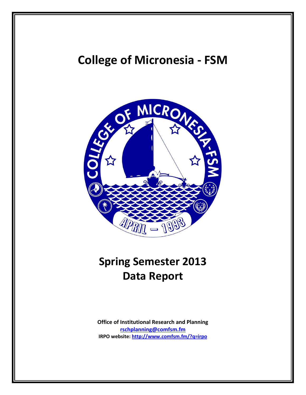# **College of Micronesia - FSM**



# **Spring Semester 2013 Data Report**

**Office of Institutional Research and Planning [rschplanning@comfsm.fm](mailto:rschplanning@comfsm.fm) IRPO website:<http://www.comfsm.fm/?q=irpo>**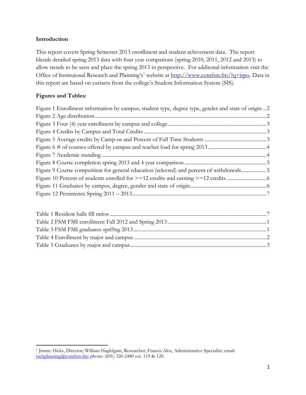## **Introduction**

This report covers Spring Semester 2013 enorllment and student achivement data. The report blends detailed spring 2013 data with four year comparions (spring 2010, 2011, 2012 and 2013) to allow trends to be seen and place the spring 2013 in perspective. For additonal information visit the Office of Instituional Research and Planning's<sup>1</sup> website at [http://www.comfsm.fm/?q=irpo.](http://www.comfsm.fm/?q=irpo) Data in this report are based on extracts from the college's Student Informaiton System (SIS).

## **Figures and Tables:**

 $\overline{\phantom{a}}$ 

| Figure 1 Enrollment information by campus, student type, degree type, gender and state of origin  2 |  |
|-----------------------------------------------------------------------------------------------------|--|
|                                                                                                     |  |
|                                                                                                     |  |
|                                                                                                     |  |
|                                                                                                     |  |
|                                                                                                     |  |
|                                                                                                     |  |
|                                                                                                     |  |
| Figure 9 Course competition for general education (selected) and percent of withdrawals5            |  |
|                                                                                                     |  |
|                                                                                                     |  |
|                                                                                                     |  |

<sup>1</sup> Jimmy Hicks, Director; William Haglelgam, Researcher; Francis Alex, Administrative Specialist; email: [rschplanning@comfsm.fm;](mailto:rschplanning@comfsm.fm) phone: (691) 320-2480 ext. 119 & 120.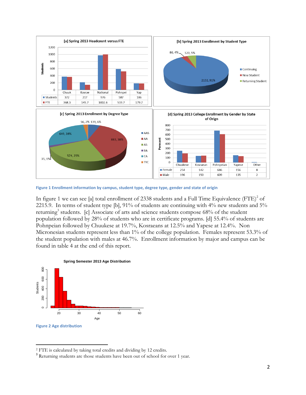

<span id="page-2-0"></span>**Figure 1 Enrollment information by campus, student type, degree type, gender and state of origin**

In figure 1 we can see [a] total enrollment of 2338 students and a Full Time Equivalence (FTE)<sup>2</sup> of 2215.9. In terms of student type [b], 91% of students are continuing with 4% new students and 5% returning<sup>3</sup> students. [c] Associate of arts and science students compose 68% of the student population followed by 28% of students who are in certificate programs. [d] 55.4% of students are Pohnpeian followed by Chuukese at 19.7%, Kosraeans at 12.5% and Yapese at 12.4%. Non Micronesian students represent less than 1% of the college population. Females represent 53.3% of the student population with males at 46.7%. Enrollment information by major and campus can be found in table 4 at the end of this report.



<span id="page-2-1"></span> $\overline{\phantom{a}}$ 

<sup>2</sup> FTE is calculated by taking total credits and dividing by 12 credits.

<sup>&</sup>lt;sup>3</sup> Returning students are those students have been out of school for over 1 year.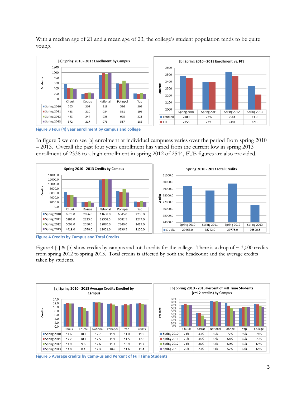With a median age of 21 and a mean age of 23, the college's student population tends to be quite young.



<span id="page-3-0"></span>**Figure 3 Four (4) year enrollment by campus and college**

In figure 3 we can see [a] enrolment at individual campuses varies over the period from spring 2010 – 2013. Overall the past four years enrollment has varied from the current low in spring 2013 enrollment of 2338 to a high enrollment in spring 2012 of 2544, FTE figures are also provided.



<span id="page-3-1"></span>**Figure 4 Credits by Campus and Total Credits**

Figure 4 [a] & [b] show credits by campus and total credits for the college. There is a drop of  $\sim$  3,000 credits from spring 2012 to spring 2013. Total credits is affected by both the headcount and the average credits taken by students.



<span id="page-3-2"></span>**Figure 5 Average credits by Camp-us and Percent of Full Time Students**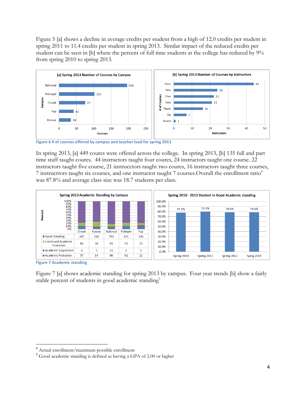Figure 5 [a] shows a decline in average credits per student from a high of 12.0 credits per student in spring 2011 to 11.4 credits per student in spring 2013. Similar impact of the reduced credits per student can be seen in [b] where the percent of full time students at the college has reduced by 9% from spring 2010 to spring 2013.



<span id="page-4-0"></span>**Figure 6 # of courses offered by campus and teacher load for spring 2013**

In spring 2013, [a] 449 coures were offered across the college. In spring 2013, [b] 135 full and part time staff taught coures. 44 instructors taught four coures, 24 instructors taught one course. 22 instructors taught five course, 21 instrucctors taught two coures, 16 instructors taught three courses, 7 instrucrtors taught six courses, and one instructor taught 7 courses.Overall the enrollment ratio<sup>4</sup> was 87.8% and average class size was 18.7 students per class.



<span id="page-4-1"></span>**Figure 7 Academic standing**

l

Figure 7 [a] shows academic standing for spring 2013 by campus. Four year trends [b] show a fairly stable percent of students in good academic standing<sup>5</sup>

<sup>4</sup> Actual enrollment/maximum possible enrollment

<sup>5</sup> Good academic standing is defined as having a GPA of 2.00 or higher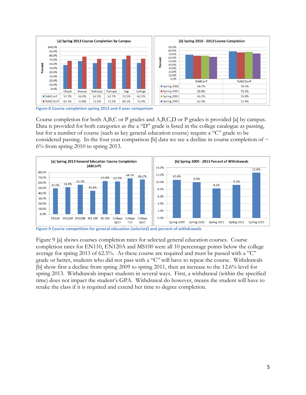

<span id="page-5-0"></span>**Figure 8 Course completion spring 2013 and 4 year comparison**

Course completion for both A,B,C or P grades and A,B,C,D or P grades is provided [a] by campus. Data is provided for both categories as the a "D" grade is listed in the college catalogue as passing, but for a number of course (such as key general education course) require a "C" grade to be considered passing. In the four year comparison [b] data we see a decline in course completion of  $\sim$ 6% from spring 2010 to spring 2013.



<span id="page-5-1"></span>**Figure 9 Course competition for general education (selected) and percent of withdrawals**

Figure 9 [a] shows courses completion rates for selected general education courses. Course completion rates for EN110, EN120A and MS100 were all 10 percentage points below the college average for spring 2013 of 62.5%. As these course are required and must be passed with a "C" grade or better, students who did not pass with a "C" will have to repeat the course. Withdrawals [b] show first a decline from spring 2009 to spring 2011, then an increase to the 12.6% level for spring 2013. Withdrawals impact students in several ways. First, a withdrawal (within the specified time) does not impact the student's GPA. Withdrawal do however, means the student will have to retake the class if it is required and extend her time to degree completion.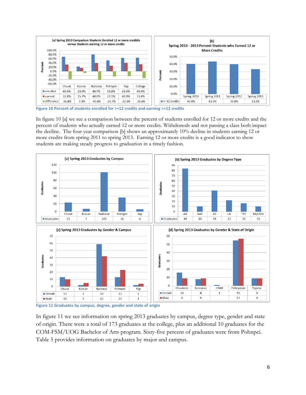

<span id="page-6-0"></span>**Figure 10 Percent of students enrolled for >=12 credits and earning >=12 credits**

In figure 10 [a] we see a comparison between the percent of students enrolled for 12 or more credits and the percent of students who actually earned 12 or more credits. Withdrawals and not passing a class both impact the decline. The four year comparison [b] shows an approximately 10% decline in students earning 12 or more credits from spring 2011 to spring 2013. Earning 12 or more credits is a good indicator to show students are making steady progress to graduation in a timely fashion.



<span id="page-6-1"></span>**Figure 11 Graduates by campus, degree, gender and state of origin**

In figure 11 we see information on spring 2013 graduates by campus, degree type, gender and state of origin. There were a total of 173 graduates at the college, plus an additional 10 graduates for the COM-FSM/UOG Bachelor of Arts program. Sixty-five percent of graduates were from Pohnpei. Table 5 provides information on graduates by major and campus.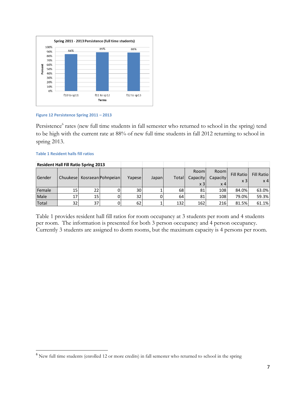

#### <span id="page-7-0"></span>**Figure 12 Persistence Spring 2011 – 2013**

Persistence<sup>6</sup> rates (new full time students in fall semester who returned to school in the spring) tend to be high with the current rate at 88% of new full time students in fall 2012 returning to school in spring 2013.

#### <span id="page-7-1"></span>**Table 1 Resident halls fill ratios**

 $\overline{\phantom{a}}$ 

|        | <b>Resident Hall Fill Ratio Spring 2013</b> |    |                    |        |       |       |                |             |                   |                   |
|--------|---------------------------------------------|----|--------------------|--------|-------|-------|----------------|-------------|-------------------|-------------------|
|        |                                             |    |                    |        |       |       | <b>Room</b>    | Rooml       | <b>Fill Ratio</b> | <b>Fill Ratio</b> |
| Gender | Chuukesel                                   |    | Kosraean Pohnpeian | Yapese | Japan | Total | Capacity       | Capacity    | x <sub>3</sub>    | x <sub>4</sub>    |
|        |                                             |    |                    |        |       |       | x <sub>3</sub> | $\times$ 41 |                   |                   |
| Female | 15                                          | 22 |                    | 30I    |       | 68    | 81             | 108         | 84.0%             | 63.0%             |
| Male   | 17                                          | 15 |                    | 32     |       | 64    | 81             | 108         | 79.0%             | 59.3%             |
| Total  | 32                                          | 37 |                    | 62     |       | 132   | 162            | 216         | 81.5%             | 61.1%             |

Table 1 provides resident hall fill ratios for room occupancy at 3 students per room and 4 students per room. The information is presented for both 3 person occupancy and 4 person occupancy. Currently 3 students are assigned to dorm rooms, but the maximum capacity is 4 persons per room.

<sup>&</sup>lt;sup>6</sup> New full time students (enrolled 12 or more credits) in fall semester who returned to school in the spring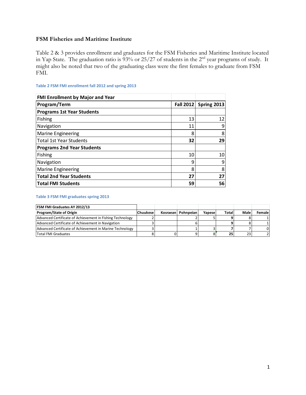## **FSM Fisheries and Maritime Institute**

Table 2 & 3 provides enrollment and graduates for the FSM Fisheries and Maritime Institute located in Yap State. The graduation ratio is  $93\%$  or 25/27 of students in the 2<sup>nd</sup> year programs of study. It might also be noted that two of the graduating class were the first females to graduate from FSM FMI.

| <b>FMI Enrollment by Major and Year</b> |                  |             |
|-----------------------------------------|------------------|-------------|
| Program/Term                            | <b>Fall 2012</b> | Spring 2013 |
| <b>Programs 1st Year Students</b>       |                  |             |
| <b>Fishing</b>                          | 13               | 12          |
| Navigation                              | 11               | 9           |
| <b>Marine Engineering</b>               | 8                | 8           |
| <b>Total 1st Year Students</b>          | 32               | 29          |
| <b>Programs 2nd Year Students</b>       |                  |             |
| Fishing                                 | 10               | 10          |
| Navigation                              | 9                | 9           |
| <b>Marine Engineering</b>               | 8                | 8           |
| <b>Total 2nd Year Students</b>          | 27               | 27          |
| <b>Total FMI Students</b>               | 59               | 56          |

### <span id="page-8-0"></span>**Table 2 FSM FMI enrollment fall 2012 and spring 2013**

#### <span id="page-8-1"></span>**Table 3 FSM FMI graduates spring 2013**

| <b>FSM FMI Graduates AY 2012/13</b>                       |           |                      |        |       |      |               |
|-----------------------------------------------------------|-----------|----------------------|--------|-------|------|---------------|
| <b>Program/State of Origin</b>                            | lChuukese | Kosraean   Pohnpeian | Yapese | Total | Male | <b>Female</b> |
| Advanced Certificate of Achievement in Fishing Technology |           |                      |        |       |      |               |
| Advanced Certificate of Achievement in Navigation         |           |                      |        |       |      |               |
| Advanced Certificate of Achievement in Marine Technology  |           |                      |        |       |      |               |
| Total FMI Graduates                                       |           |                      |        | 25    | 23   |               |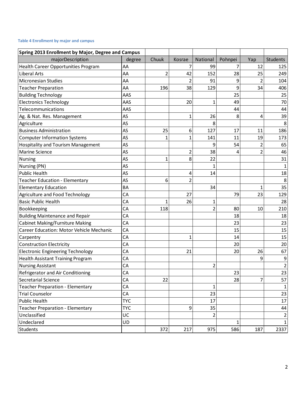## <span id="page-9-0"></span>**Table 4 Enrollment by major and campus**

| Spring 2013 Enrollment by Major, Degree and Campus |            |                |                |                |         |     |              |
|----------------------------------------------------|------------|----------------|----------------|----------------|---------|-----|--------------|
| majorDescription                                   | degree     | Chuuk          | Kosrae         | National       | Pohnpei | Yap | Students     |
| <b>Health Career Opportunities Program</b>         | AA         |                | 7              | 99             |         | 12  | 125          |
| <b>Liberal Arts</b>                                | AA         | $\overline{2}$ | 42             | 152            | 28      | 25  | 249          |
| <b>Micronesian Studies</b>                         | AA         |                | 2              | 91             | 9       | 2   | 104          |
| <b>Teacher Preparation</b>                         | AA         | 196            | 38             | 129            | 9       | 34  | 406          |
| <b>Building Technology</b>                         | AAS        |                |                |                | 25      |     | 25           |
| <b>Electronics Technology</b>                      | AAS        |                | 20             | $\mathbf{1}$   | 49      |     | 70           |
| Telecommunications                                 | AAS        |                |                |                | 44      |     | 44           |
| Ag. & Nat. Res. Management                         | AS         |                | $\mathbf{1}$   | 26             | 8       | 4   | 39           |
| Agriculture                                        | AS         |                |                | 8              |         |     | 8            |
| <b>Business Administration</b>                     | AS         | 25             | 6              | 127            | 17      | 11  | 186          |
| <b>Computer Information Systems</b>                | AS         | 1              | 1              | 141            | 11      | 19  | 173          |
| <b>Hospitality and Tourism Management</b>          | AS         |                |                | 9              | 54      | 2   | 65           |
| <b>Marine Science</b>                              | AS         |                | $\overline{2}$ | 38             | 4       | 2   | 46           |
| Nursing                                            | AS         | 1              | 8              | 22             |         |     | 31           |
| Nursing (PN)                                       | AS         |                |                | 1              |         |     | 1            |
| <b>Public Health</b>                               | AS         |                | 4              | 14             |         |     | 18           |
| Teacher Education - Elementary                     | AS         | 6              | $\overline{2}$ |                |         |     | 8            |
| <b>Elementary Education</b>                        | <b>BA</b>  |                |                | 34             |         | 1   | 35           |
| Agriculture and Food Technology                    | CA         |                | 27             |                | 79      | 23  | 129          |
| <b>Basic Public Health</b>                         | CA         | 1              | 26             | 1              |         |     | 28           |
| Bookkeeping                                        | CA         | 118            |                | $\overline{2}$ | 80      | 10  | 210          |
| <b>Building Maintenance and Repair</b>             | CA         |                |                |                | 18      |     | 18           |
| <b>Cabinet Making/Furniture Making</b>             | CA         |                |                |                | 23      |     | 23           |
| Career Education: Motor Vehicle Mechanic           | CA         |                |                |                | 15      |     | 15           |
| Carpentry                                          | CA         |                | 1              |                | 14      |     | 15           |
| <b>Construction Electricity</b>                    | CA         |                |                |                | 20      |     | 20           |
| <b>Electronic Engineering Technology</b>           | CA         |                | 21             |                | 20      | 26  | 67           |
| <b>Health Assistant Training Program</b>           | CA         |                |                |                |         | 9   | 9            |
| <b>Nursing Assistant</b>                           | CA         |                |                | $\overline{2}$ |         |     | 2            |
| Refrigerator and Air Conditioning                  | CА         |                |                |                | 23      |     | 23           |
| Secretarial Science                                | CA         | 22             |                |                | 28      | 7   | 57           |
| Teacher Preparation - Elementary                   | CA         |                |                | $\mathbf{1}$   |         |     | $\mathbf{1}$ |
| <b>Trial Counselor</b>                             | CA         |                |                | 23             |         |     | 23           |
| <b>Public Health</b>                               | <b>TYC</b> |                |                | 17             |         |     | 17           |
| Teacher Preparation - Elementary                   | <b>TYC</b> |                | 9              | 35             |         |     | 44           |
| Unclassified                                       | UC         |                |                | $\overline{2}$ |         |     | 2            |
| Undeclared                                         | UD         |                |                |                | 1       |     | $1\vert$     |
| <b>Students</b>                                    |            | 372            | 217            | 975            | 586     | 187 | 2337         |